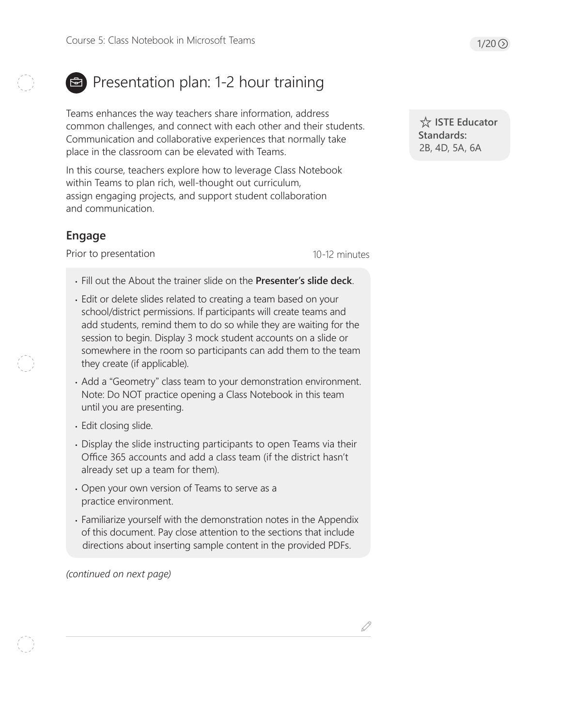# Presentation plan: 1-2 hour training

Teams enhances the way teachers share information, address common challenges, and connect with each other and their students. Communication and collaborative experiences that normally take place in the classroom can be elevated with Teams.

In this course, teachers explore how to leverage Class Notebook within Teams to plan rich, well-thought out curriculum, assign engaging projects, and support student collaboration and communication.

# **Engage**

Prior to presentation

10-12 minutes

- Fill out the About the trainer slide on the **Presenter's slide deck**.
- Edit or delete slides related to creating a team based on your school/district permissions. If participants will create teams and add students, remind them to do so while they are waiting for the session to begin. Display 3 mock student accounts on a slide or somewhere in the room so participants can add them to the team they create (if applicable).
- Add a "Geometry" class team to your demonstration environment. Note: Do NOT practice opening a Class Notebook in this team until you are presenting.
- Edit closing slide.
- Display the slide instructing participants to open Teams via their Office 365 accounts and add a class team (if the district hasn't already set up a team for them).
- Open your own version of Teams to serve as a practice environment.
- Familiarize yourself with the demonstration notes in the Appendix of this document. Pay close attention to the sections that include directions about inserting sample content in the provided PDFs.

*(continued on next page)*

 **ISTE Educator Standards:** 2B, 4D, 5A, 6A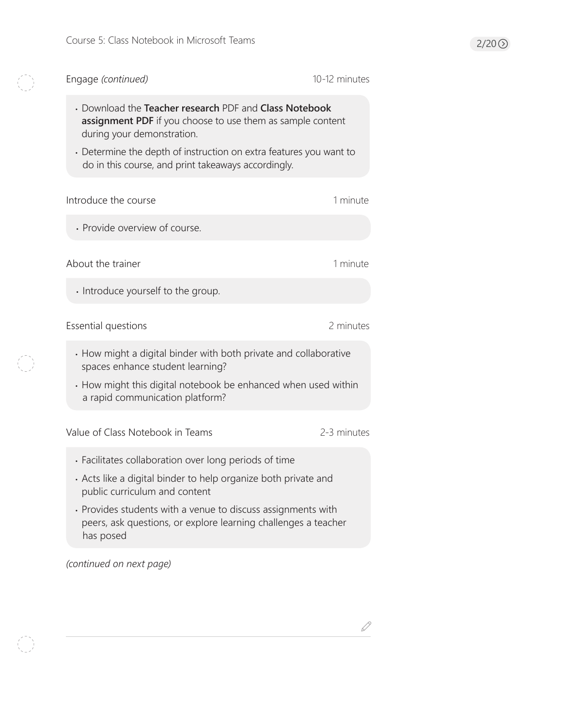K

 $\begin{pmatrix} 1 \\ 1 \end{pmatrix}$ 

| Engage (continued)                                                                                                                                                                                                                                                              | 10-12 minutes |
|---------------------------------------------------------------------------------------------------------------------------------------------------------------------------------------------------------------------------------------------------------------------------------|---------------|
| • Download the Teacher research PDF and Class Notebook<br>assignment PDF if you choose to use them as sample content<br>during your demonstration.<br>• Determine the depth of instruction on extra features you want to<br>do in this course, and print takeaways accordingly. |               |
| Introduce the course                                                                                                                                                                                                                                                            | 1 minute      |
| · Provide overview of course.                                                                                                                                                                                                                                                   |               |
| About the trainer                                                                                                                                                                                                                                                               | 1 minute      |
| Introduce yourself to the group.                                                                                                                                                                                                                                                |               |
| Essential questions                                                                                                                                                                                                                                                             | 2 minutes     |
| • How might a digital binder with both private and collaborative<br>spaces enhance student learning?<br>• How might this digital notebook be enhanced when used within<br>a rapid communication platform?                                                                       |               |
| Value of Class Notebook in Teams                                                                                                                                                                                                                                                | 2-3 minutes   |
| • Facilitates collaboration over long periods of time                                                                                                                                                                                                                           |               |
| Acts like a digital binder to help organize both private and<br>public curriculum and content                                                                                                                                                                                   |               |
| • Provides students with a venue to discuss assignments with<br>peers, ask questions, or explore learning challenges a teacher<br>has posed                                                                                                                                     |               |
| (continued on next page)                                                                                                                                                                                                                                                        |               |

 $\mathscr{Q}$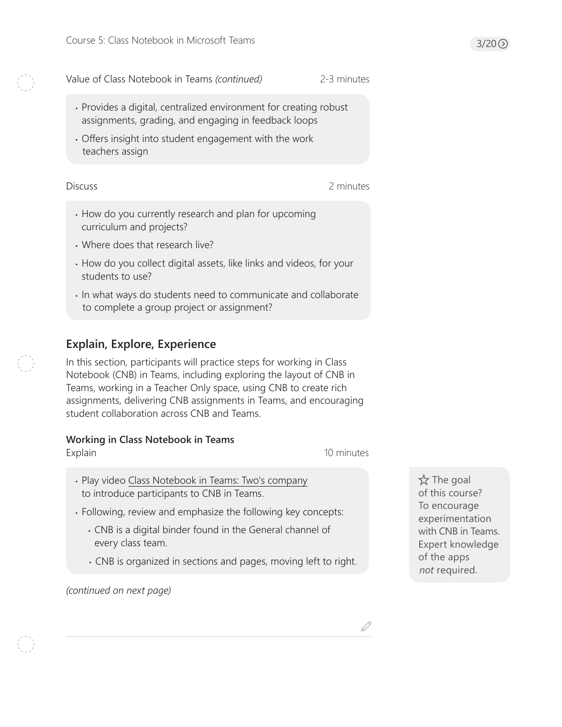Value of Class Notebook in Teams *(continued)* 2-3 minutes

- Provides a digital, centralized environment for creating robust assignments, grading, and engaging in feedback loops
- Offers insight into student engagement with the work teachers assign

#### **Discuss**

- 2 minutes
- How do you currently research and plan for upcoming curriculum and projects?
- Where does that research live?
- How do you collect digital assets, like links and videos, for your students to use?
- In what ways do students need to communicate and collaborate to complete a group project or assignment?

# **Explain, Explore, Experience**

In this section, participants will practice steps for working in Class Notebook (CNB) in Teams, including exploring the layout of CNB in Teams, working in a Teacher Only space, using CNB to create rich assignments, delivering CNB assignments in Teams, and encouraging student collaboration across CNB and Teams.

# **Working in Class Notebook in Teams**

Explain

10 minutes

- Play video [Class Notebook in Teams: Two's company](https://youtu.be/uhiH8Lei8Mg) to introduce participants to CNB in Teams.
- Following, review and emphasize the following key concepts:
	- CNB is a digital binder found in the General channel of every class team.
	- CNB is organized in sections and pages, moving left to right.

*(continued on next page)*

 $\overleftrightarrow{\mathsf{x}}$  The goal of this course? To encourage experimentation with CNB in Teams. Expert knowledge of the apps *not* required.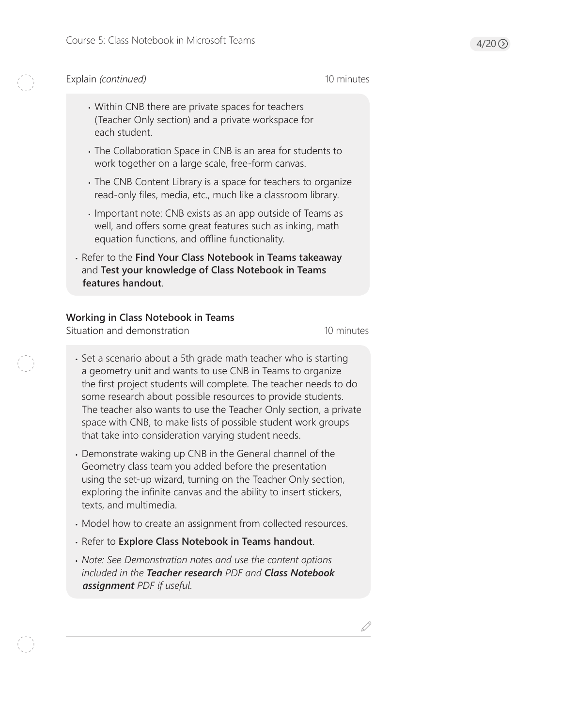#### Explain *(continued)* 10 minutes

- Within CNB there are private spaces for teachers (Teacher Only section) and a private workspace for each student.
- The Collaboration Space in CNB is an area for students to work together on a large scale, free-form canvas.
- The CNB Content Library is a space for teachers to organize read-only files, media, etc., much like a classroom library.
- Important note: CNB exists as an app outside of Teams as well, and offers some great features such as inking, math equation functions, and offline functionality.
- Refer to the **Find Your Class Notebook in Teams takeaway** and **Test your knowledge of Class Notebook in Teams features handout**.

#### **Working in Class Notebook in Teams**

Situation and demonstration

10 minutes

- Set a scenario about a 5th grade math teacher who is starting a geometry unit and wants to use CNB in Teams to organize the first project students will complete. The teacher needs to do some research about possible resources to provide students. The teacher also wants to use the Teacher Only section, a private space with CNB, to make lists of possible student work groups that take into consideration varying student needs.
- Demonstrate waking up CNB in the General channel of the Geometry class team you added before the presentation using the set-up wizard, turning on the Teacher Only section, exploring the infinite canvas and the ability to insert stickers, texts, and multimedia.
- Model how to create an assignment from collected resources.
- Refer to **Explore Class Notebook in Teams handout**.
- *Note: See Demonstration notes and use the content options included in the Teacher research PDF and Class Notebook assignment PDF if useful.*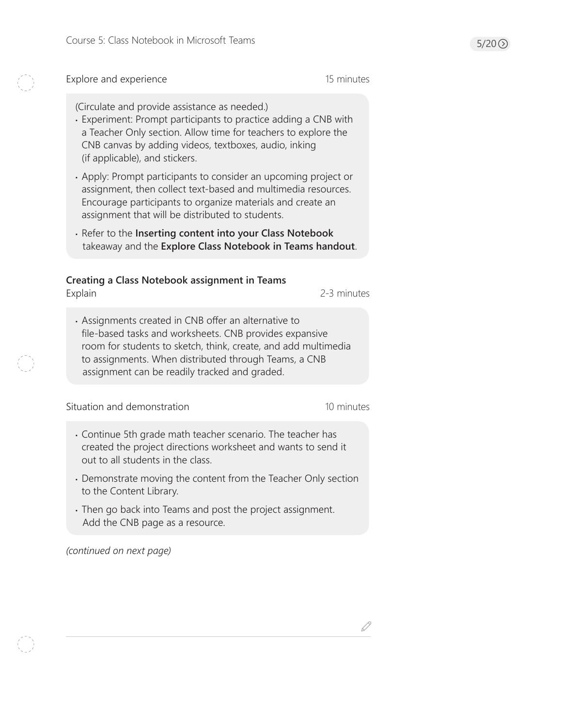Explore and experience 15 minutes

(Circulate and provide assistance as needed.)

- Experiment: Prompt participants to practice adding a CNB with a Teacher Only section. Allow time for teachers to explore the CNB canvas by adding videos, textboxes, audio, inking (if applicable), and stickers.
- Apply: Prompt participants to consider an upcoming project or assignment, then collect text-based and multimedia resources. Encourage participants to organize materials and create an assignment that will be distributed to students.
- Refer to the **Inserting content into your Class Notebook** takeaway and the **Explore Class Notebook in Teams handout**.

# **Creating a Class Notebook assignment in Teams**

Explain 2-3 minutes

• Assignments created in CNB offer an alternative to file-based tasks and worksheets. CNB provides expansive room for students to sketch, think, create, and add multimedia to assignments. When distributed through Teams, a CNB assignment can be readily tracked and graded.

Situation and demonstration 10 minutes

- Continue 5th grade math teacher scenario. The teacher has created the project directions worksheet and wants to send it out to all students in the class.
- Demonstrate moving the content from the Teacher Only section to the Content Library.
- Then go back into Teams and post the project assignment. Add the CNB page as a resource.

*(continued on next page)*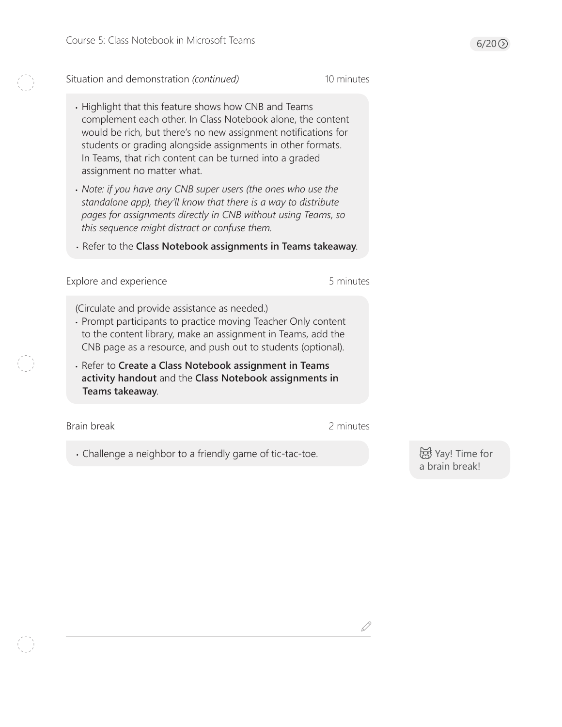Situation and demonstration *(continued)* 10 minutes

- Highlight that this feature shows how CNB and Teams complement each other. In Class Notebook alone, the content would be rich, but there's no new assignment notifications for students or grading alongside assignments in other formats. In Teams, that rich content can be turned into a graded assignment no matter what.
- *Note: if you have any CNB super users (the ones who use the standalone app), they'll know that there is a way to distribute pages for assignments directly in CNB without using Teams, so this sequence might distract or confuse them.*
- Refer to the **Class Notebook assignments in Teams takeaway**.

Explore and experience **5** minutes

(Circulate and provide assistance as needed.)

- Prompt participants to practice moving Teacher Only content to the content library, make an assignment in Teams, add the CNB page as a resource, and push out to students (optional).
- Refer to **Create a Class Notebook assignment in Teams activity handout** and the **Class Notebook assignments in Teams takeaway**.

Brain break 2 minutes

D

• Challenge a neighbor to a friendly game of tic-tac-toe.

**创** Yay! Time for a brain break!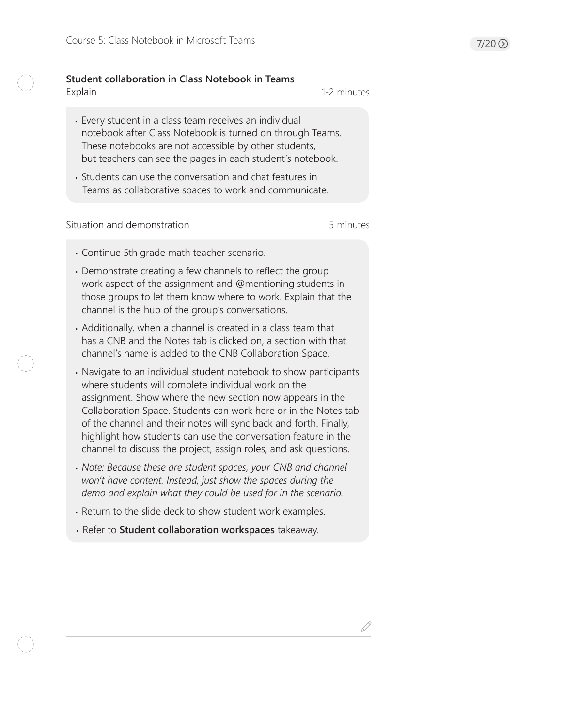#### **Student collaboration in Class Notebook in Teams** Explain

1-2 minutes

- Every student in a class team receives an individual notebook after Class Notebook is turned on through Teams. These notebooks are not accessible by other students, but teachers can see the pages in each student's notebook.
- Students can use the conversation and chat features in Teams as collaborative spaces to work and communicate.

Situation and demonstration 6 minutes

- Continue 5th grade math teacher scenario.
- Demonstrate creating a few channels to reflect the group work aspect of the assignment and @mentioning students in those groups to let them know where to work. Explain that the channel is the hub of the group's conversations.
- Additionally, when a channel is created in a class team that has a CNB and the Notes tab is clicked on, a section with that channel's name is added to the CNB Collaboration Space.
- Navigate to an individual student notebook to show participants where students will complete individual work on the assignment. Show where the new section now appears in the Collaboration Space. Students can work here or in the Notes tab of the channel and their notes will sync back and forth. Finally, highlight how students can use the conversation feature in the channel to discuss the project, assign roles, and ask questions.
- *Note: Because these are student spaces, your CNB and channel won't have content. Instead, just show the spaces during the demo and explain what they could be used for in the scenario.*
- Return to the slide deck to show student work examples.
- Refer to **Student collaboration workspaces** takeaway.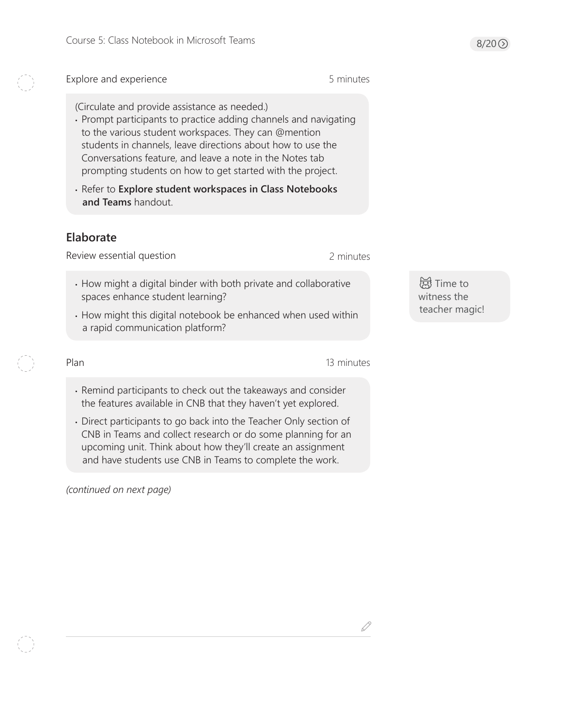$8/20$   $\odot$ 

#### Explore and experience

(Circulate and provide assistance as needed.)

- Prompt participants to practice adding channels and navigating to the various student workspaces. They can @mention students in channels, leave directions about how to use the Conversations feature, and leave a note in the Notes tab prompting students on how to get started with the project.
- Refer to **Explore student workspaces in Class Notebooks and Teams** handout.

# **Elaborate**

Review essential question

2 minutes

- How might a digital binder with both private and collaborative spaces enhance student learning?
- How might this digital notebook be enhanced when used within a rapid communication platform?

**窗**Time to witness the teacher magic!

Plan 13 minutes

- Remind participants to check out the takeaways and consider the features available in CNB that they haven't yet explored.
- Direct participants to go back into the Teacher Only section of CNB in Teams and collect research or do some planning for an upcoming unit. Think about how they'll create an assignment and have students use CNB in Teams to complete the work.

*(continued on next page)*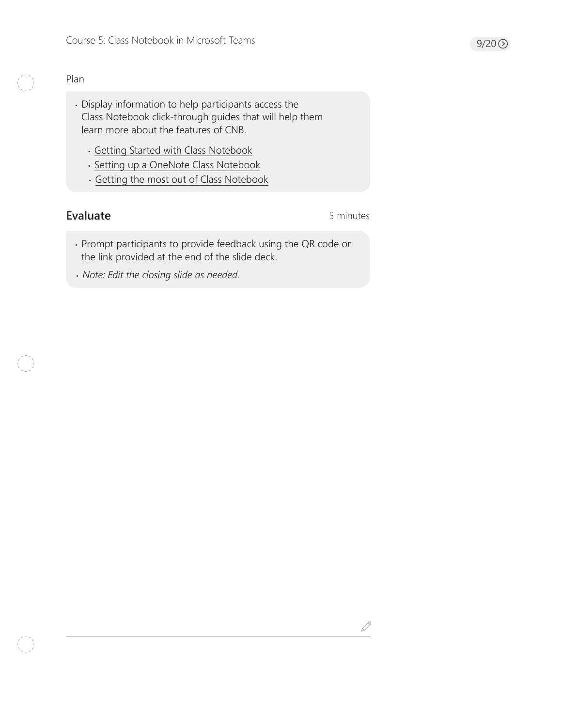### Plan

- Display information to help participants access the Class Notebook click-through guides that will help them learn more about the features of CNB.
	- [Getting Started with Class Notebook](https://www.onenoteineducation.com/en-us/guides/Getting%20started%20with%20OneNote%20Class%20Notebook)
	- [Setting up a OneNote Class Notebook](https://www.onenoteineducation.com/en-us/guides/Setting%20up%20a%20OneNote%20Class%20Notebook)
	- [Getting the most out of Class Notebook](https://www.onenoteineducation.com/en-us/guides/Getting%20the%20most%20out%20of%20OneNote%20Class%20Notebook)

# Evaluate **Evaluate** 5 minutes

 $\mathcal{S}% _{M_{1},M_{2}}^{\prime}(\theta)$ 

- Prompt participants to provide feedback using the QR code or the link provided at the end of the slide deck.
- *Note: Edit the closing slide as needed.*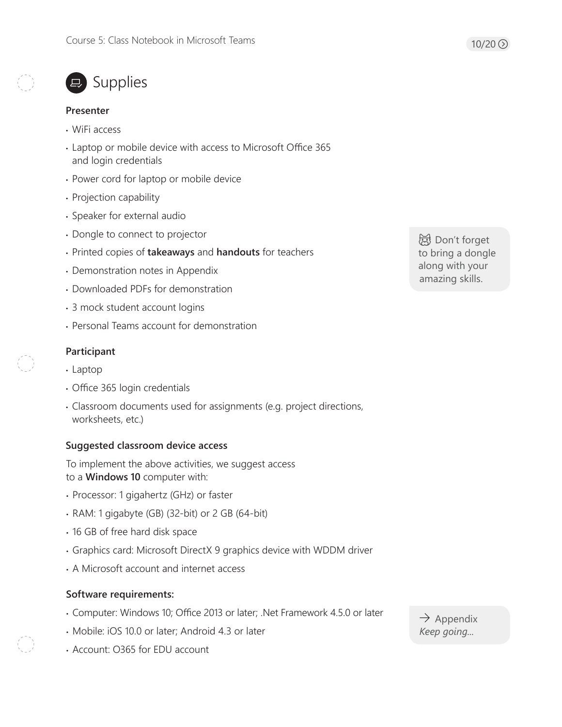

# ■ Supplies

#### **Presenter**

- WiFi access
- Laptop or mobile device with access to Microsoft Office 365 and login credentials
- Power cord for laptop or mobile device
- Projection capability
- Speaker for external audio
- Dongle to connect to projector
- Printed copies of **takeaways** and **handouts** for teachers
- Demonstration notes in Appendix
- Downloaded PDFs for demonstration
- 3 mock student account logins
- Personal Teams account for demonstration

#### **Participant**

- Laptop
- Office 365 login credentials
- Classroom documents used for assignments (e.g. project directions, worksheets, etc.)

### **Suggested classroom device access**

To implement the above activities, we suggest access to a **Windows 10** computer with:

- Processor: 1 gigahertz (GHz) or faster
- RAM: 1 gigabyte (GB) (32-bit) or 2 GB (64-bit)
- 16 GB of free hard disk space
- Graphics card: Microsoft DirectX 9 graphics device with WDDM driver
- A Microsoft account and internet access

### **Software requirements:**

- Computer: Windows 10; Office 2013 or later; .Net Framework 4.5.0 or later
- Mobile: iOS 10.0 or later; Android 4.3 or later
- Account: O365 for EDU account

 $\rightarrow$  Appendix *Keep going...*

 Don't forget to bring a dongle along with your amazing skills.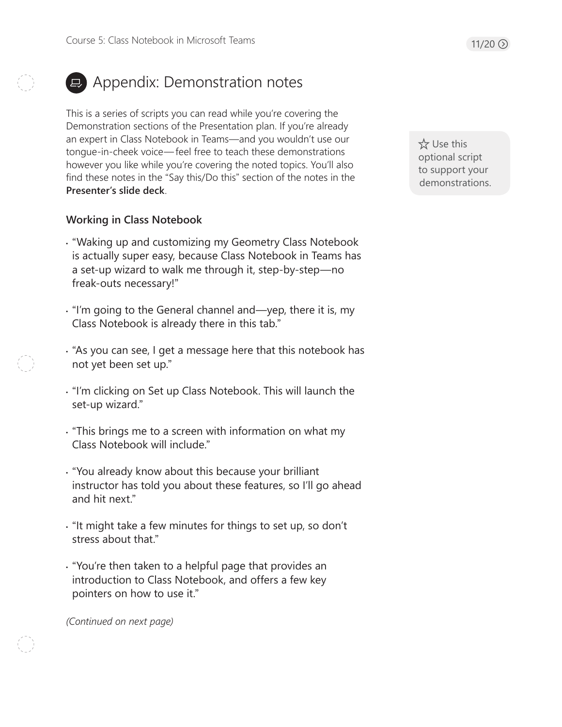# **E** Appendix: Demonstration notes

This is a series of scripts you can read while you're covering the Demonstration sections of the Presentation plan. If you're already an expert in Class Notebook in Teams—and you wouldn't use our tongue-in-cheek voice— feel free to teach these demonstrations however you like while you're covering the noted topics. You'll also find these notes in the "Say this/Do this" section of the notes in the **Presenter's slide deck**.

# **Working in Class Notebook**

- "Waking up and customizing my Geometry Class Notebook is actually super easy, because Class Notebook in Teams has a set-up wizard to walk me through it, step-by-step—no freak-outs necessary!"
- "I'm going to the General channel and—yep, there it is, my Class Notebook is already there in this tab."
- "As you can see, I get a message here that this notebook has not yet been set up."
- "I'm clicking on Set up Class Notebook. This will launch the set-up wizard."
- "This brings me to a screen with information on what my Class Notebook will include."
- "You already know about this because your brilliant instructor has told you about these features, so I'll go ahead and hit next."
- "It might take a few minutes for things to set up, so don't stress about that."
- "You're then taken to a helpful page that provides an introduction to Class Notebook, and offers a few key pointers on how to use it."

*(Continued on next page)* 

 Use this optional script to support your demonstrations.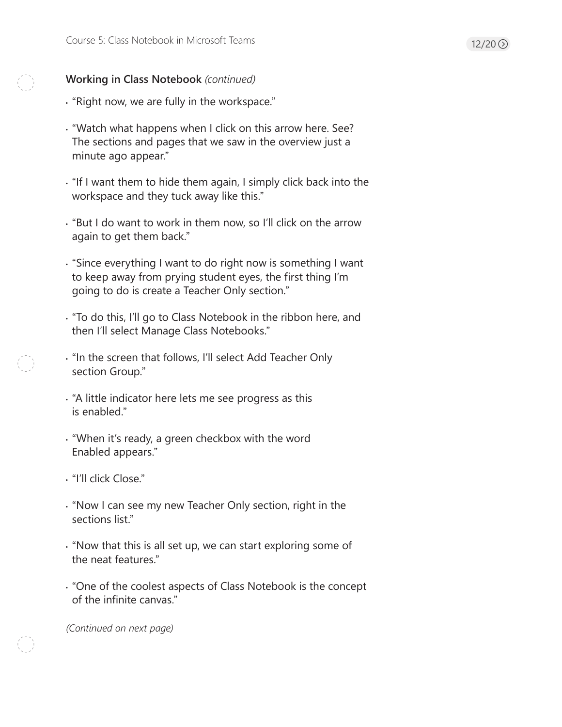- "Right now, we are fully in the workspace."
- "Watch what happens when I click on this arrow here. See? The sections and pages that we saw in the overview just a minute ago appear."
- "If I want them to hide them again, I simply click back into the workspace and they tuck away like this."
- "But I do want to work in them now, so I'll click on the arrow again to get them back."
- "Since everything I want to do right now is something I want to keep away from prying student eyes, the first thing I'm going to do is create a Teacher Only section."
- "To do this, I'll go to Class Notebook in the ribbon here, and then I'll select Manage Class Notebooks."
- "In the screen that follows, I'll select Add Teacher Only section Group."
- "A little indicator here lets me see progress as this is enabled."
- "When it's ready, a green checkbox with the word Enabled appears."
- "I'll click Close."
- "Now I can see my new Teacher Only section, right in the sections list."
- "Now that this is all set up, we can start exploring some of the neat features."
- "One of the coolest aspects of Class Notebook is the concept of the infinite canvas."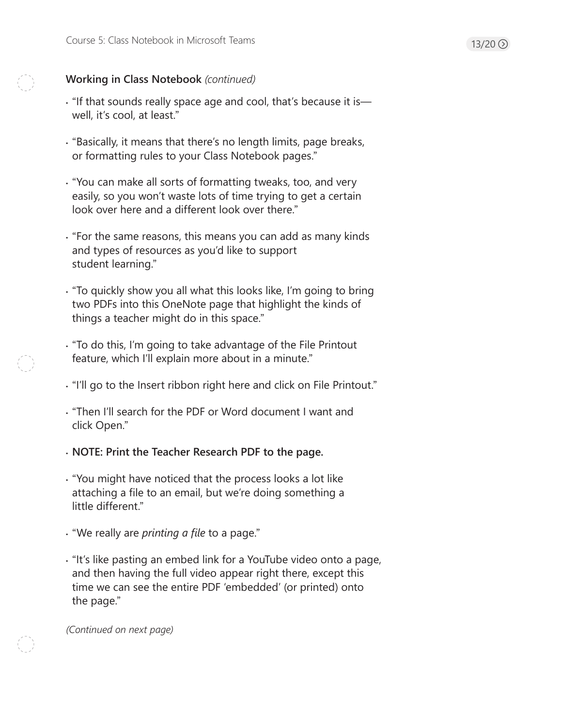- "If that sounds really space age and cool, that's because it is well, it's cool, at least."
- "Basically, it means that there's no length limits, page breaks, or formatting rules to your Class Notebook pages."
- "You can make all sorts of formatting tweaks, too, and very easily, so you won't waste lots of time trying to get a certain look over here and a different look over there."
- "For the same reasons, this means you can add as many kinds and types of resources as you'd like to support student learning."
- "To quickly show you all what this looks like, I'm going to bring two PDFs into this OneNote page that highlight the kinds of things a teacher might do in this space."
- "To do this, I'm going to take advantage of the File Printout feature, which I'll explain more about in a minute."
- "I'll go to the Insert ribbon right here and click on File Printout."
- "Then I'll search for the PDF or Word document I want and click Open."
- **NOTE: Print the Teacher Research PDF to the page.**
- "You might have noticed that the process looks a lot like attaching a file to an email, but we're doing something a little different."
- "We really are *printing a file* to a page."
- "It's like pasting an embed link for a YouTube video onto a page, and then having the full video appear right there, except this time we can see the entire PDF 'embedded' (or printed) onto the page."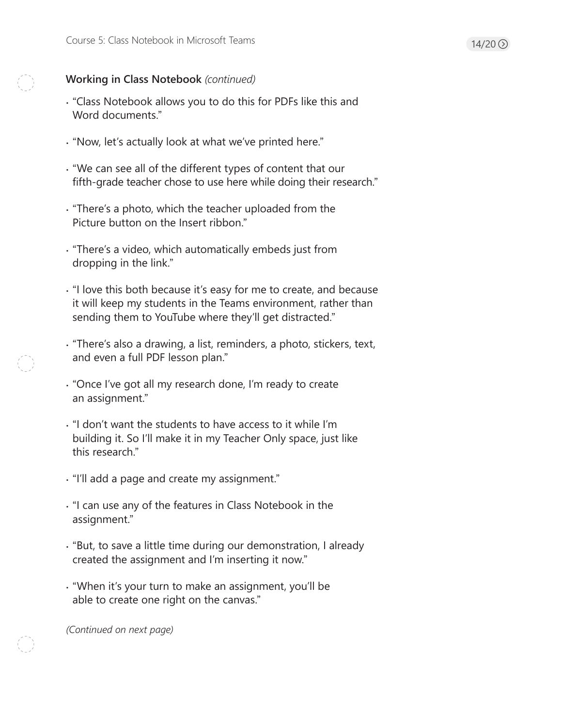- "Class Notebook allows you to do this for PDFs like this and Word documents."
- "Now, let's actually look at what we've printed here."
- "We can see all of the different types of content that our fifth-grade teacher chose to use here while doing their research."
- "There's a photo, which the teacher uploaded from the Picture button on the Insert ribbon."
- "There's a video, which automatically embeds just from dropping in the link."
- "I love this both because it's easy for me to create, and because it will keep my students in the Teams environment, rather than sending them to YouTube where they'll get distracted."
- "There's also a drawing, a list, reminders, a photo, stickers, text, and even a full PDF lesson plan."
- "Once I've got all my research done, I'm ready to create an assignment."
- "I don't want the students to have access to it while I'm building it. So I'll make it in my Teacher Only space, just like this research."
- "I'll add a page and create my assignment."
- "I can use any of the features in Class Notebook in the assignment."
- "But, to save a little time during our demonstration, I already created the assignment and I'm inserting it now."
- "When it's your turn to make an assignment, you'll be able to create one right on the canvas."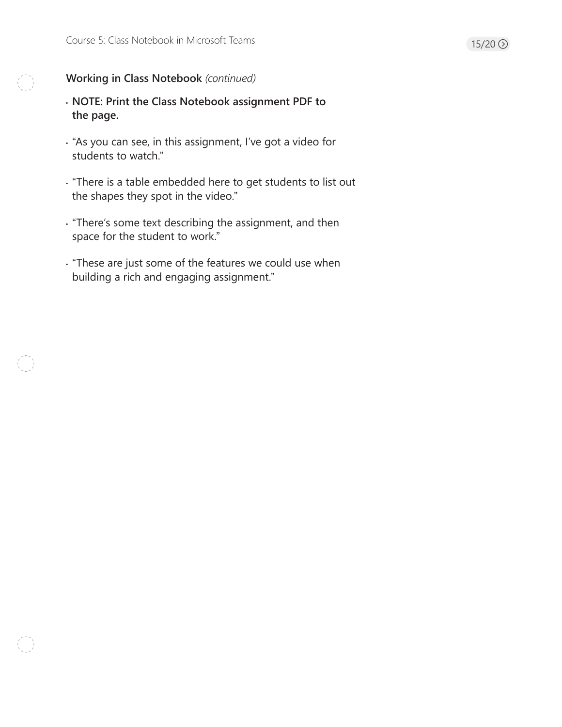- **NOTE: Print the Class Notebook assignment PDF to the page.**
- "As you can see, in this assignment, I've got a video for students to watch."
- "There is a table embedded here to get students to list out the shapes they spot in the video."
- "There's some text describing the assignment, and then space for the student to work."
- "These are just some of the features we could use when building a rich and engaging assignment."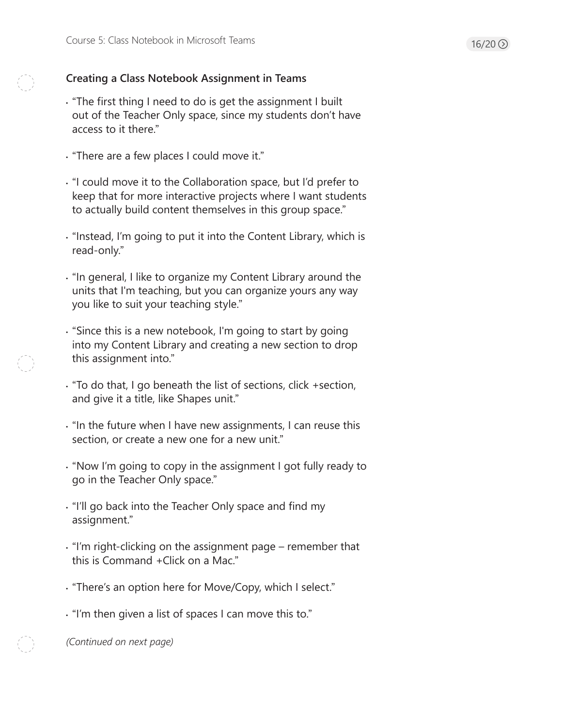# **Creating a Class Notebook Assignment in Teams**

- "The first thing I need to do is get the assignment I built out of the Teacher Only space, since my students don't have access to it there."
- "There are a few places I could move it."
- "I could move it to the Collaboration space, but I'd prefer to keep that for more interactive projects where I want students to actually build content themselves in this group space."
- "Instead, I'm going to put it into the Content Library, which is read-only."
- "In general, I like to organize my Content Library around the units that I'm teaching, but you can organize yours any way you like to suit your teaching style."
- "Since this is a new notebook, I'm going to start by going into my Content Library and creating a new section to drop this assignment into."
- "To do that, I go beneath the list of sections, click +section, and give it a title, like Shapes unit."
- "In the future when I have new assignments, I can reuse this section, or create a new one for a new unit."
- "Now I'm going to copy in the assignment I got fully ready to go in the Teacher Only space."
- "I'll go back into the Teacher Only space and find my assignment."
- "I'm right-clicking on the assignment page remember that this is Command +Click on a Mac."
- "There's an option here for Move/Copy, which I select."
- "I'm then given a list of spaces I can move this to."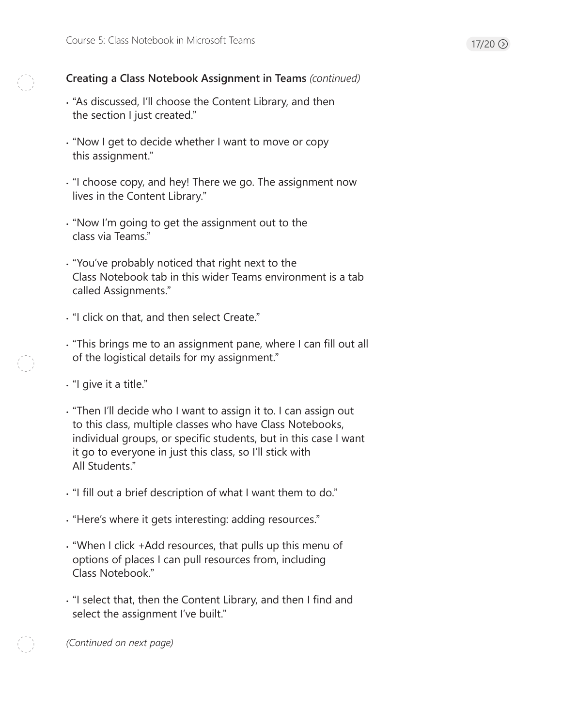# **Creating a Class Notebook Assignment in Teams** *(continued)*

- "As discussed, I'll choose the Content Library, and then the section I just created."
- "Now I get to decide whether I want to move or copy this assignment."
- "I choose copy, and hey! There we go. The assignment now lives in the Content Library."
- "Now I'm going to get the assignment out to the class via Teams."
- "You've probably noticed that right next to the Class Notebook tab in this wider Teams environment is a tab called Assignments."
- "I click on that, and then select Create."
- "This brings me to an assignment pane, where I can fill out all of the logistical details for my assignment."
- "I give it a title."
- "Then I'll decide who I want to assign it to. I can assign out to this class, multiple classes who have Class Notebooks, individual groups, or specific students, but in this case I want it go to everyone in just this class, so I'll stick with All Students."
- "I fill out a brief description of what I want them to do."
- "Here's where it gets interesting: adding resources."
- "When I click +Add resources, that pulls up this menu of options of places I can pull resources from, including Class Notebook."
- "I select that, then the Content Library, and then I find and select the assignment I've built."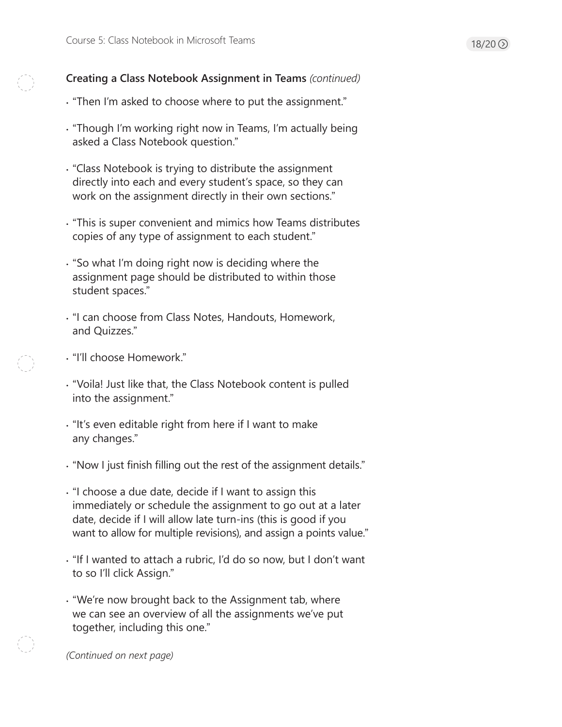# **Creating a Class Notebook Assignment in Teams** *(continued)*

- "Then I'm asked to choose where to put the assignment."
- "Though I'm working right now in Teams, I'm actually being asked a Class Notebook question."
- "Class Notebook is trying to distribute the assignment directly into each and every student's space, so they can work on the assignment directly in their own sections."
- "This is super convenient and mimics how Teams distributes copies of any type of assignment to each student."
- "So what I'm doing right now is deciding where the assignment page should be distributed to within those student spaces."
- "I can choose from Class Notes, Handouts, Homework, and Quizzes."
- "I'll choose Homework."
- "Voila! Just like that, the Class Notebook content is pulled into the assignment."
- "It's even editable right from here if I want to make any changes."
- "Now I just finish filling out the rest of the assignment details."
- "I choose a due date, decide if I want to assign this immediately or schedule the assignment to go out at a later date, decide if I will allow late turn-ins (this is good if you want to allow for multiple revisions), and assign a points value."
- "If I wanted to attach a rubric, I'd do so now, but I don't want to so I'll click Assign."
- "We're now brought back to the Assignment tab, where we can see an overview of all the assignments we've put together, including this one."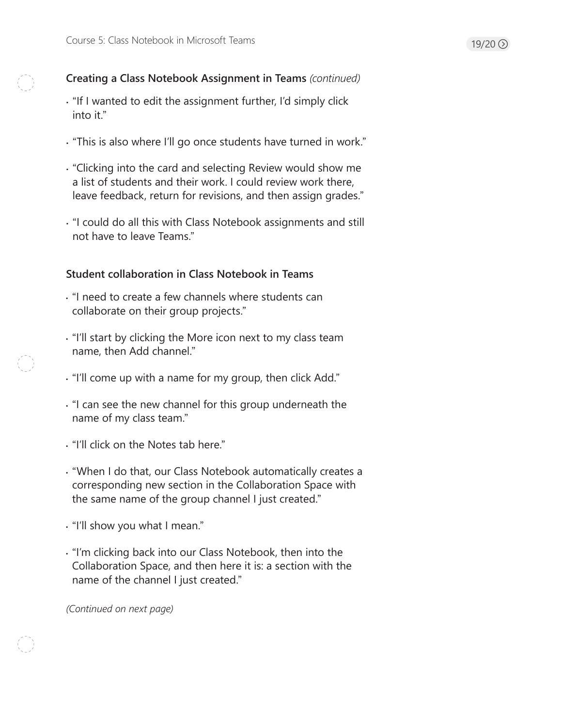# **Creating a Class Notebook Assignment in Teams** *(continued)*

- "If I wanted to edit the assignment further, I'd simply click into it."
- "This is also where I'll go once students have turned in work."
- "Clicking into the card and selecting Review would show me a list of students and their work. I could review work there, leave feedback, return for revisions, and then assign grades."
- "I could do all this with Class Notebook assignments and still not have to leave Teams."

# **Student collaboration in Class Notebook in Teams**

- "I need to create a few channels where students can collaborate on their group projects."
- "I'll start by clicking the More icon next to my class team name, then Add channel."
- "I'll come up with a name for my group, then click Add."
- "I can see the new channel for this group underneath the name of my class team."
- "I'll click on the Notes tab here."
- "When I do that, our Class Notebook automatically creates a corresponding new section in the Collaboration Space with the same name of the group channel I just created."
- "I'll show you what I mean."
- "I'm clicking back into our Class Notebook, then into the Collaboration Space, and then here it is: a section with the name of the channel I just created."